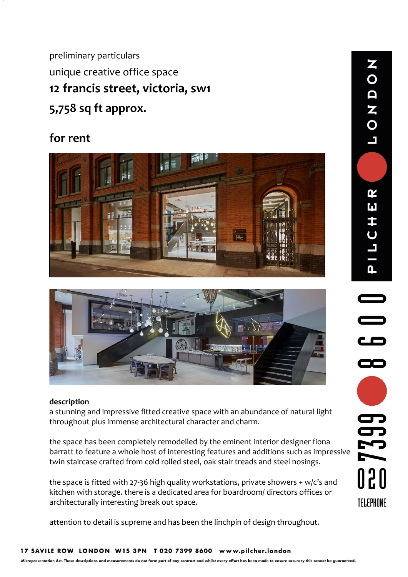preliminary particulars unique creative office space **12 francis street, victoria, sw1 5,758 sq ft approx.**

# **for rent**





# **description**

a stunning and impressive fitted creative space with an abundance of natural light throughout plus immense architectural character and charm.

the space has been completely remodelled by the eminent interior designer fiona barratt to feature a whole host of interesting features and additions such as impressive twin staircase crafted from cold rolled steel, oak stair treads and steel nosings.

the space is fitted with 27-36 high quality workstations, private showers + w/c's and kitchen with storage. there is a dedicated area for boardroom/ directors offices or architecturally interesting break out space.

attention to detail is supreme and has been the linchpin of design throughout.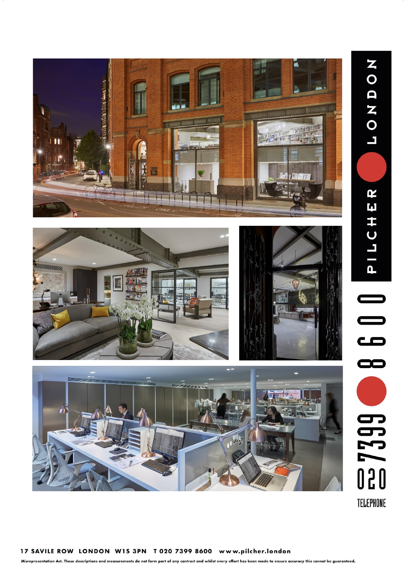



Misrepresentation Act. These descriptions and measurements do not form part of any contract and whilst every effort has been made to ensure accuracy this cannot be guaranteed.